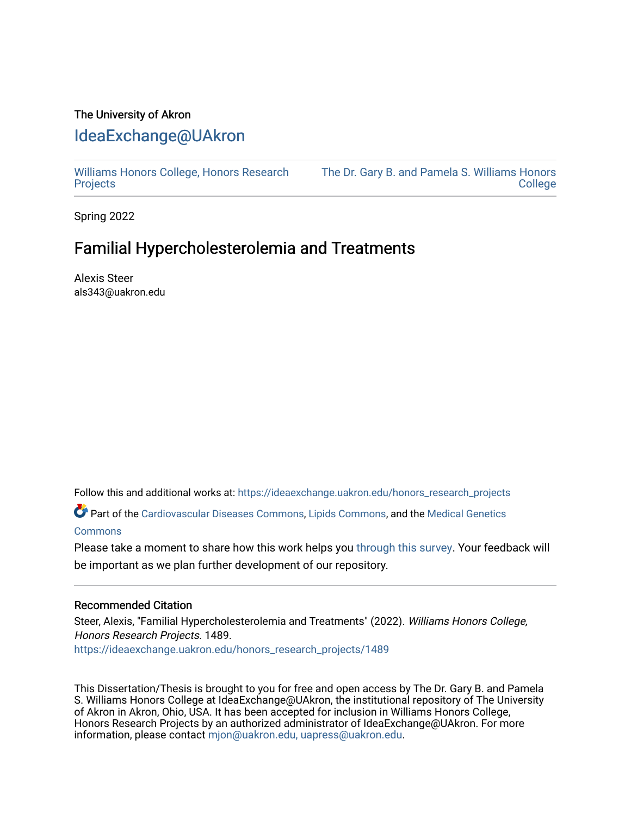## The University of Akron [IdeaExchange@UAkron](https://ideaexchange.uakron.edu/)

[Williams Honors College, Honors Research](https://ideaexchange.uakron.edu/honors_research_projects)  **[Projects](https://ideaexchange.uakron.edu/honors_research_projects)** 

[The Dr. Gary B. and Pamela S. Williams Honors](https://ideaexchange.uakron.edu/honorscollege_ideas)  **College** 

Spring 2022

# Familial Hypercholester olemia and Treatments

Alexis Steer als343@uakron.edu

Follow this and additional works at: [https://ideaexchange.uakron.edu/honors\\_research\\_projects](https://ideaexchange.uakron.edu/honors_research_projects?utm_source=ideaexchange.uakron.edu%2Fhonors_research_projects%2F1489&utm_medium=PDF&utm_campaign=PDFCoverPages) 

Part of the [Cardiovascular Diseases Commons](http://network.bepress.com/hgg/discipline/929?utm_source=ideaexchange.uakron.edu%2Fhonors_research_projects%2F1489&utm_medium=PDF&utm_campaign=PDFCoverPages), [Lipids Commons,](http://network.bepress.com/hgg/discipline/920?utm_source=ideaexchange.uakron.edu%2Fhonors_research_projects%2F1489&utm_medium=PDF&utm_campaign=PDFCoverPages) and the [Medical Genetics](http://network.bepress.com/hgg/discipline/670?utm_source=ideaexchange.uakron.edu%2Fhonors_research_projects%2F1489&utm_medium=PDF&utm_campaign=PDFCoverPages)  **[Commons](http://network.bepress.com/hgg/discipline/670?utm_source=ideaexchange.uakron.edu%2Fhonors_research_projects%2F1489&utm_medium=PDF&utm_campaign=PDFCoverPages)** 

Please take a moment to share how this work helps you [through this survey](http://survey.az1.qualtrics.com/SE/?SID=SV_eEVH54oiCbOw05f&URL=https://ideaexchange.uakron.edu/honors_research_projects/1489). Your feedback will be important as we plan further development of our repository.

### Recommended Citation

Steer, Alexis, "Familial Hypercholesterolemia and Treatments" (2022). Williams Honors College, Honors Research Projects. 1489.

[https://ideaexchange.uakron.edu/honors\\_research\\_projects/1489](https://ideaexchange.uakron.edu/honors_research_projects/1489?utm_source=ideaexchange.uakron.edu%2Fhonors_research_projects%2F1489&utm_medium=PDF&utm_campaign=PDFCoverPages) 

This Dissertation/Thesis is brought to you for free and open access by The Dr. Gary B. and Pamela S. Williams Honors College at IdeaExchange@UAkron, the institutional repository of The University of Akron in Akron, Ohio, USA. It has been accepted for inclusion in Williams Honors College, Honors Research Projects by an authorized administrator of IdeaExchange@UAkron. For more information, please contact [mjon@uakron.edu, uapress@uakron.edu.](mailto:mjon@uakron.edu,%20uapress@uakron.edu)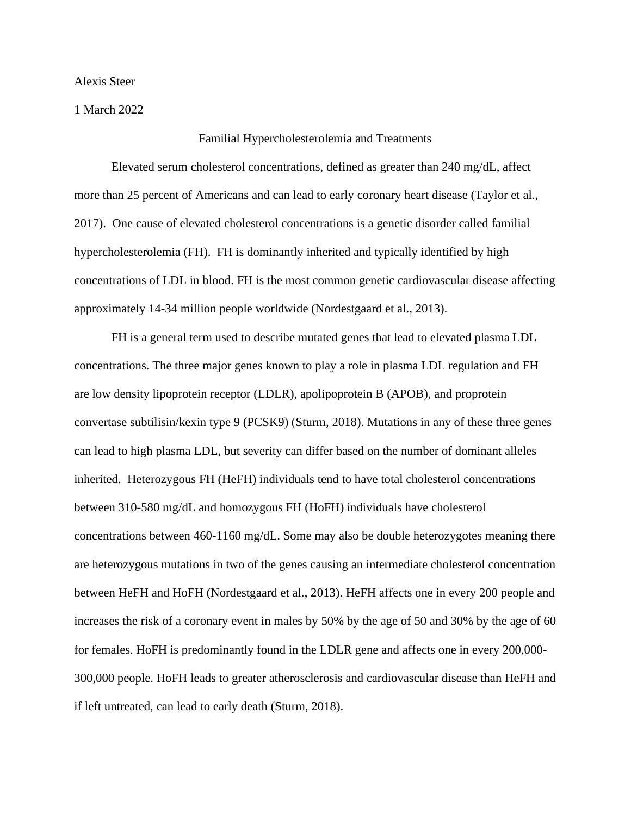Alexis Steer

1 March 2022

### Familial Hypercholesterolemia and Treatments

 Elevated serum cholesterol concentrations, defined as greater than 240 mg/dL, affect more than 25 percent of Americans and can lead to early coronary heart disease (Taylor et al., 2017). One cause of elevated cholesterol concentrations is a genetic disorder called familial hypercholesterolemia (FH). FH is dominantly inherited and typically identified by high concentrations of LDL in blood. FH is the most common genetic cardiovascular disease affecting approximately 14-34 million people worldwide (Nordestgaard et al., 2013).

 FH is a general term used to describe mutated genes that lead to elevated plasma LDL concentrations. The three major genes known to play a role in plasma LDL regulation and FH are low density lipoprotein receptor (LDLR), apolipoprotein B (APOB), and proprotein convertase subtilisin/kexin type 9 (PCSK9) (Sturm, 2018). Mutations in any of these three genes can lead to high plasma LDL, but severity can differ based on the number of dominant alleles inherited. Heterozygous FH (HeFH) individuals tend to have total cholesterol concentrations between 310-580 mg/dL and homozygous FH (HoFH) individuals have cholesterol concentrations between 460-1160 mg/dL. Some may also be double heterozygotes meaning there are heterozygous mutations in two of the genes causing an intermediate cholesterol concentration between HeFH and HoFH (Nordestgaard et al., 2013). HeFH affects one in every 200 people and increases the risk of a coronary event in males by 50% by the age of 50 and 30% by the age of 60 for females. HoFH is predominantly found in the LDLR gene and affects one in every 200,000- 300,000 people. HoFH leads to greater atherosclerosis and cardiovascular disease than HeFH and if left untreated, can lead to early death (Sturm, 2018).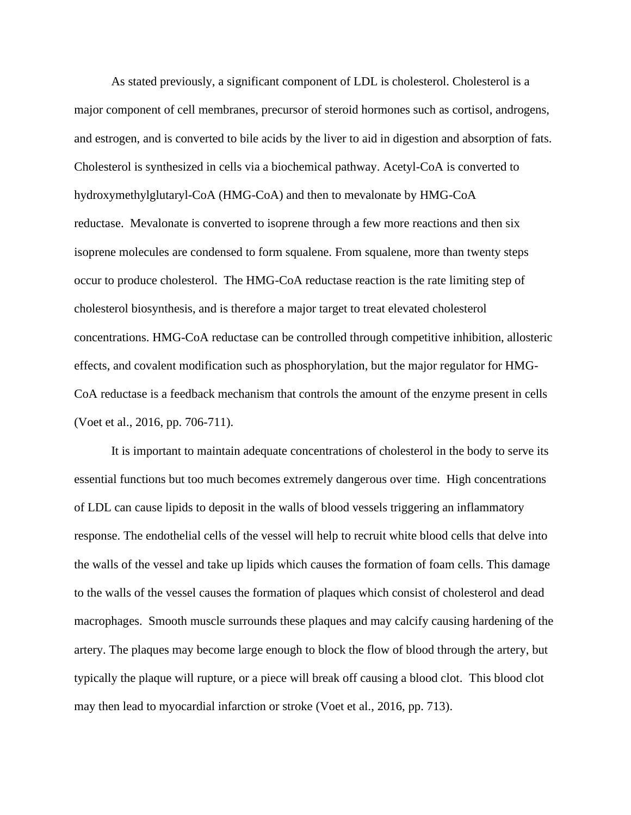As stated previously, a significant component of LDL is cholesterol. Cholesterol is a major component of cell membranes, precursor of steroid hormones such as cortisol, androgens, and estrogen, and is converted to bile acids by the liver to aid in digestion and absorption of fats. Cholesterol is synthesized in cells via a biochemical pathway. Acetyl-CoA is converted to hydroxymethylglutaryl-CoA (HMG-CoA) and then to mevalonate by HMG-CoA reductase. Mevalonate is converted to isoprene through a few more reactions and then six isoprene molecules are condensed to form squalene. From squalene, more than twenty steps occur to produce cholesterol. The HMG-CoA reductase reaction is the rate limiting step of cholesterol biosynthesis, and is therefore a major target to treat elevated cholesterol concentrations. HMG-CoA reductase can be controlled through competitive inhibition, allosteric effects, and covalent modification such as phosphorylation, but the major regulator for HMG-CoA reductase is a feedback mechanism that controls the amount of the enzyme present in cells (Voet et al., 2016, pp. 706-711).

It is important to maintain adequate concentrations of cholesterol in the body to serve its essential functions but too much becomes extremely dangerous over time. High concentrations of LDL can cause lipids to deposit in the walls of blood vessels triggering an inflammatory response. The endothelial cells of the vessel will help to recruit white blood cells that delve into the walls of the vessel and take up lipids which causes the formation of foam cells. This damage to the walls of the vessel causes the formation of plaques which consist of cholesterol and dead macrophages. Smooth muscle surrounds these plaques and may calcify causing hardening of the artery. The plaques may become large enough to block the flow of blood through the artery, but typically the plaque will rupture, or a piece will break off causing a blood clot. This blood clot may then lead to myocardial infarction or stroke (Voet et al., 2016, pp. 713).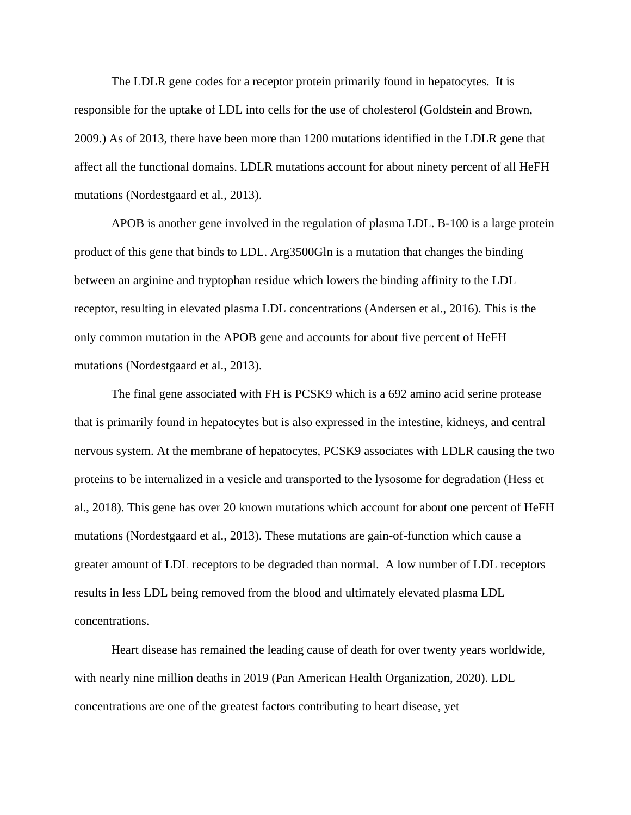The LDLR gene codes for a receptor protein primarily found in hepatocytes. It is responsible for the uptake of LDL into cells for the use of cholesterol (Goldstein and Brown, 2009.) As of 2013, there have been more than 1200 mutations identified in the LDLR gene that affect all the functional domains. LDLR mutations account for about ninety percent of all HeFH mutations (Nordestgaard et al., 2013).

APOB is another gene involved in the regulation of plasma LDL. B-100 is a large protein product of this gene that binds to LDL. Arg3500Gln is a mutation that changes the binding between an arginine and tryptophan residue which lowers the binding affinity to the LDL receptor, resulting in elevated plasma LDL concentrations (Andersen et al., 2016). This is the only common mutation in the APOB gene and accounts for about five percent of HeFH mutations (Nordestgaard et al., 2013).

The final gene associated with FH is PCSK9 which is a 692 amino acid serine protease that is primarily found in hepatocytes but is also expressed in the intestine, kidneys, and central nervous system. At the membrane of hepatocytes, PCSK9 associates with LDLR causing the two proteins to be internalized in a vesicle and transported to the lysosome for degradation (Hess et al., 2018). This gene has over 20 known mutations which account for about one percent of HeFH mutations (Nordestgaard et al., 2013). These mutations are gain-of-function which cause a greater amount of LDL receptors to be degraded than normal. A low number of LDL receptors results in less LDL being removed from the blood and ultimately elevated plasma LDL concentrations.

Heart disease has remained the leading cause of death for over twenty years worldwide, with nearly nine million deaths in 2019 (Pan American Health Organization, 2020). LDL concentrations are one of the greatest factors contributing to heart disease, yet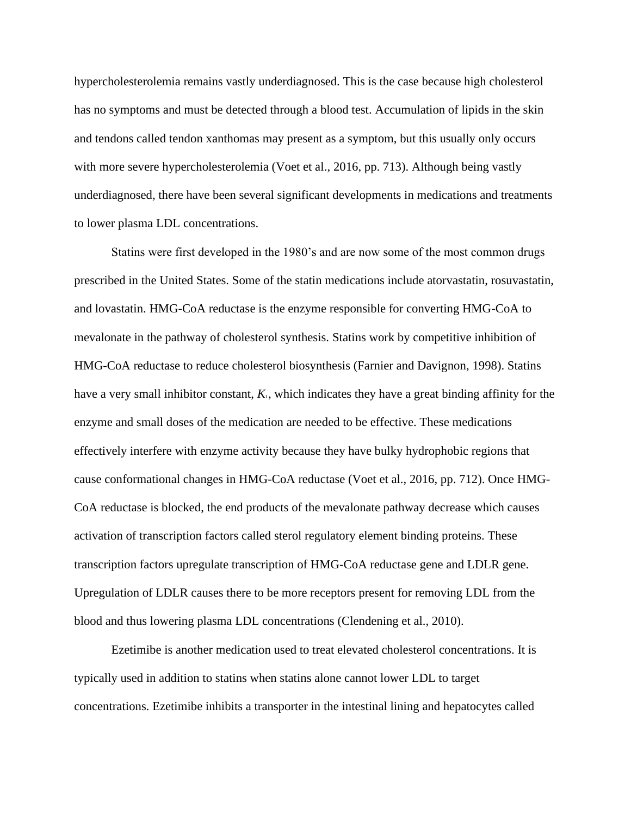hypercholesterolemia remains vastly underdiagnosed. This is the case because high cholesterol has no symptoms and must be detected through a blood test. Accumulation of lipids in the skin and tendons called tendon xanthomas may present as a symptom, but this usually only occurs with more severe hypercholesterolemia (Voet et al., 2016, pp. 713). Although being vastly underdiagnosed, there have been several significant developments in medications and treatments to lower plasma LDL concentrations.

Statins were first developed in the 1980's and are now some of the most common drugs prescribed in the United States. Some of the statin medications include atorvastatin, rosuvastatin, and lovastatin. HMG-CoA reductase is the enzyme responsible for converting HMG-CoA to mevalonate in the pathway of cholesterol synthesis. Statins work by competitive inhibition of HMG-CoA reductase to reduce cholesterol biosynthesis (Farnier and Davignon, 1998). Statins have a very small inhibitor constant,  $K<sub>i</sub>$ , which indicates they have a great binding affinity for the enzyme and small doses of the medication are needed to be effective. These medications effectively interfere with enzyme activity because they have bulky hydrophobic regions that cause conformational changes in HMG-CoA reductase (Voet et al., 2016, pp. 712). Once HMG-CoA reductase is blocked, the end products of the mevalonate pathway decrease which causes activation of transcription factors called sterol regulatory element binding proteins. These transcription factors upregulate transcription of HMG-CoA reductase gene and LDLR gene. Upregulation of LDLR causes there to be more receptors present for removing LDL from the blood and thus lowering plasma LDL concentrations (Clendening et al., 2010).

Ezetimibe is another medication used to treat elevated cholesterol concentrations. It is typically used in addition to statins when statins alone cannot lower LDL to target concentrations. Ezetimibe inhibits a transporter in the intestinal lining and hepatocytes called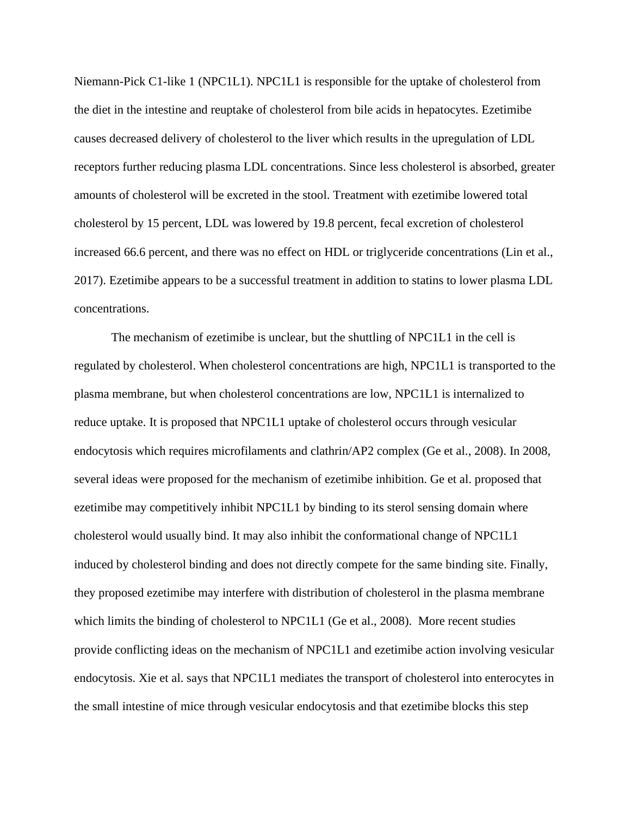Niemann-Pick C1-like 1 (NPC1L1). NPC1L1 is responsible for the uptake of cholesterol from the diet in the intestine and reuptake of cholesterol from bile acids in hepatocytes. Ezetimibe causes decreased delivery of cholesterol to the liver which results in the upregulation of LDL receptors further reducing plasma LDL concentrations. Since less cholesterol is absorbed, greater amounts of cholesterol will be excreted in the stool. Treatment with ezetimibe lowered total cholesterol by 15 percent, LDL was lowered by 19.8 percent, fecal excretion of cholesterol increased 66.6 percent, and there was no effect on HDL or triglyceride concentrations (Lin et al., 2017). Ezetimibe appears to be a successful treatment in addition to statins to lower plasma LDL concentrations.

The mechanism of ezetimibe is unclear, but the shuttling of NPC1L1 in the cell is regulated by cholesterol. When cholesterol concentrations are high, NPC1L1 is transported to the plasma membrane, but when cholesterol concentrations are low, NPC1L1 is internalized to reduce uptake. It is proposed that NPC1L1 uptake of cholesterol occurs through vesicular endocytosis which requires microfilaments and clathrin/AP2 complex (Ge et al., 2008). In 2008, several ideas were proposed for the mechanism of ezetimibe inhibition. Ge et al. proposed that ezetimibe may competitively inhibit NPC1L1 by binding to its sterol sensing domain where cholesterol would usually bind. It may also inhibit the conformational change of NPC1L1 induced by cholesterol binding and does not directly compete for the same binding site. Finally, they proposed ezetimibe may interfere with distribution of cholesterol in the plasma membrane which limits the binding of cholesterol to NPC1L1 (Ge et al., 2008). More recent studies provide conflicting ideas on the mechanism of NPC1L1 and ezetimibe action involving vesicular endocytosis. Xie et al. says that NPC1L1 mediates the transport of cholesterol into enterocytes in the small intestine of mice through vesicular endocytosis and that ezetimibe blocks this step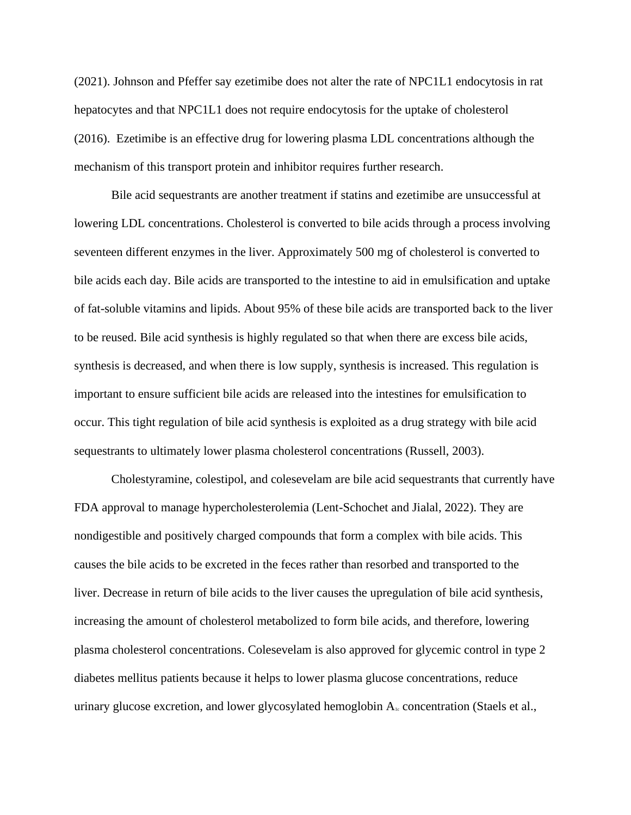(2021). Johnson and Pfeffer say ezetimibe does not alter the rate of NPC1L1 endocytosis in rat hepatocytes and that NPC1L1 does not require endocytosis for the uptake of cholesterol (2016). Ezetimibe is an effective drug for lowering plasma LDL concentrations although the mechanism of this transport protein and inhibitor requires further research.

Bile acid sequestrants are another treatment if statins and ezetimibe are unsuccessful at lowering LDL concentrations. Cholesterol is converted to bile acids through a process involving seventeen different enzymes in the liver. Approximately 500 mg of cholesterol is converted to bile acids each day. Bile acids are transported to the intestine to aid in emulsification and uptake of fat-soluble vitamins and lipids. About 95% of these bile acids are transported back to the liver to be reused. Bile acid synthesis is highly regulated so that when there are excess bile acids, synthesis is decreased, and when there is low supply, synthesis is increased. This regulation is important to ensure sufficient bile acids are released into the intestines for emulsification to occur. This tight regulation of bile acid synthesis is exploited as a drug strategy with bile acid sequestrants to ultimately lower plasma cholesterol concentrations (Russell, 2003).

Cholestyramine, colestipol, and colesevelam are bile acid sequestrants that currently have FDA approval to manage hypercholesterolemia (Lent-Schochet and Jialal, 2022). They are nondigestible and positively charged compounds that form a complex with bile acids. This causes the bile acids to be excreted in the feces rather than resorbed and transported to the liver. Decrease in return of bile acids to the liver causes the upregulation of bile acid synthesis, increasing the amount of cholesterol metabolized to form bile acids, and therefore, lowering plasma cholesterol concentrations. Colesevelam is also approved for glycemic control in type 2 diabetes mellitus patients because it helps to lower plasma glucose concentrations, reduce urinary glucose excretion, and lower glycosylated hemoglobin  $A<sub>1c</sub>$  concentration (Staels et al.,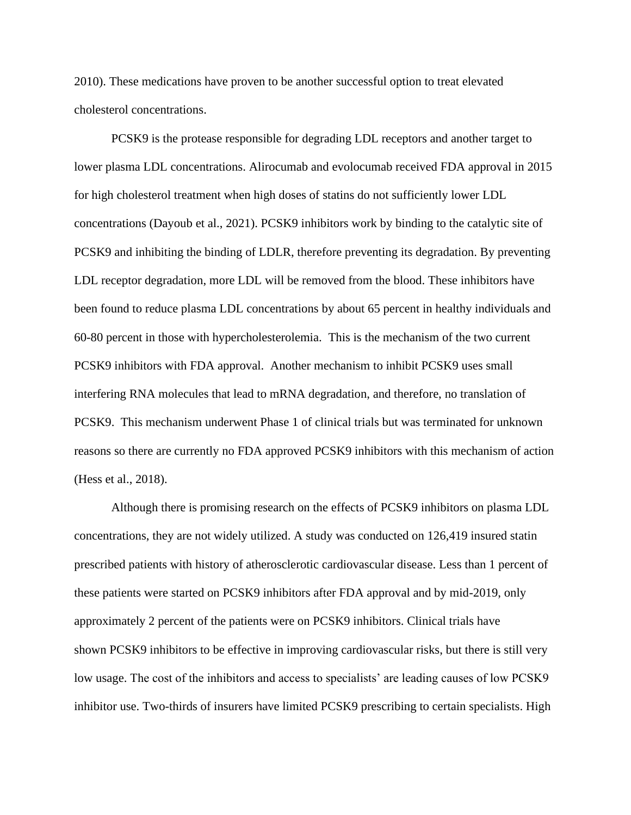2010). These medications have proven to be another successful option to treat elevated cholesterol concentrations.

PCSK9 is the protease responsible for degrading LDL receptors and another target to lower plasma LDL concentrations. Alirocumab and evolocumab received FDA approval in 2015 for high cholesterol treatment when high doses of statins do not sufficiently lower LDL concentrations (Dayoub et al., 2021). PCSK9 inhibitors work by binding to the catalytic site of PCSK9 and inhibiting the binding of LDLR, therefore preventing its degradation. By preventing LDL receptor degradation, more LDL will be removed from the blood. These inhibitors have been found to reduce plasma LDL concentrations by about 65 percent in healthy individuals and 60-80 percent in those with hypercholesterolemia. This is the mechanism of the two current PCSK9 inhibitors with FDA approval. Another mechanism to inhibit PCSK9 uses small interfering RNA molecules that lead to mRNA degradation, and therefore, no translation of PCSK9. This mechanism underwent Phase 1 of clinical trials but was terminated for unknown reasons so there are currently no FDA approved PCSK9 inhibitors with this mechanism of action (Hess et al., 2018).

Although there is promising research on the effects of PCSK9 inhibitors on plasma LDL concentrations, they are not widely utilized. A study was conducted on 126,419 insured statin prescribed patients with history of atherosclerotic cardiovascular disease. Less than 1 percent of these patients were started on PCSK9 inhibitors after FDA approval and by mid-2019, only approximately 2 percent of the patients were on PCSK9 inhibitors. Clinical trials have shown PCSK9 inhibitors to be effective in improving cardiovascular risks, but there is still very low usage. The cost of the inhibitors and access to specialists' are leading causes of low PCSK9 inhibitor use. Two-thirds of insurers have limited PCSK9 prescribing to certain specialists. High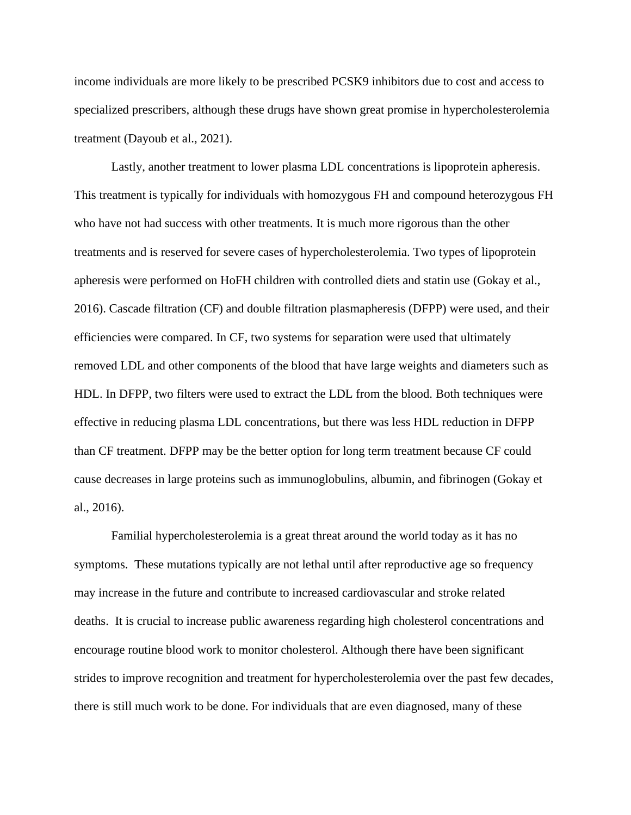income individuals are more likely to be prescribed PCSK9 inhibitors due to cost and access to specialized prescribers, although these drugs have shown great promise in hypercholesterolemia treatment (Dayoub et al., 2021).

Lastly, another treatment to lower plasma LDL concentrations is lipoprotein apheresis. This treatment is typically for individuals with homozygous FH and compound heterozygous FH who have not had success with other treatments. It is much more rigorous than the other treatments and is reserved for severe cases of hypercholesterolemia. Two types of lipoprotein apheresis were performed on HoFH children with controlled diets and statin use (Gokay et al., 2016). Cascade filtration (CF) and double filtration plasmapheresis (DFPP) were used, and their efficiencies were compared. In CF, two systems for separation were used that ultimately removed LDL and other components of the blood that have large weights and diameters such as HDL. In DFPP, two filters were used to extract the LDL from the blood. Both techniques were effective in reducing plasma LDL concentrations, but there was less HDL reduction in DFPP than CF treatment. DFPP may be the better option for long term treatment because CF could cause decreases in large proteins such as immunoglobulins, albumin, and fibrinogen (Gokay et al., 2016).

Familial hypercholesterolemia is a great threat around the world today as it has no symptoms. These mutations typically are not lethal until after reproductive age so frequency may increase in the future and contribute to increased cardiovascular and stroke related deaths. It is crucial to increase public awareness regarding high cholesterol concentrations and encourage routine blood work to monitor cholesterol. Although there have been significant strides to improve recognition and treatment for hypercholesterolemia over the past few decades, there is still much work to be done. For individuals that are even diagnosed, many of these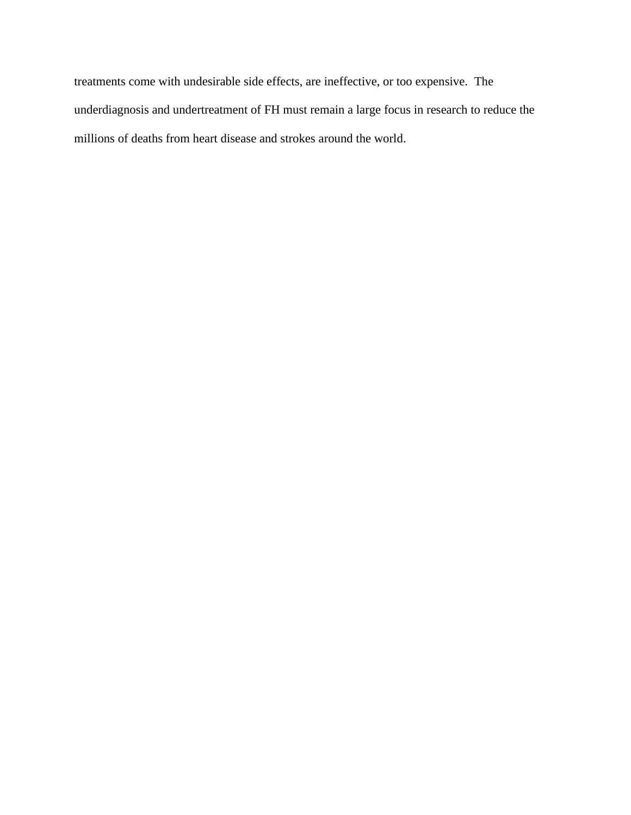treatments come with undesirable side effects, are ineffective, or too expensive. The underdiagnosis and undertreatment of FH must remain a large focus in research to reduce the millions of deaths from heart disease and strokes around the world.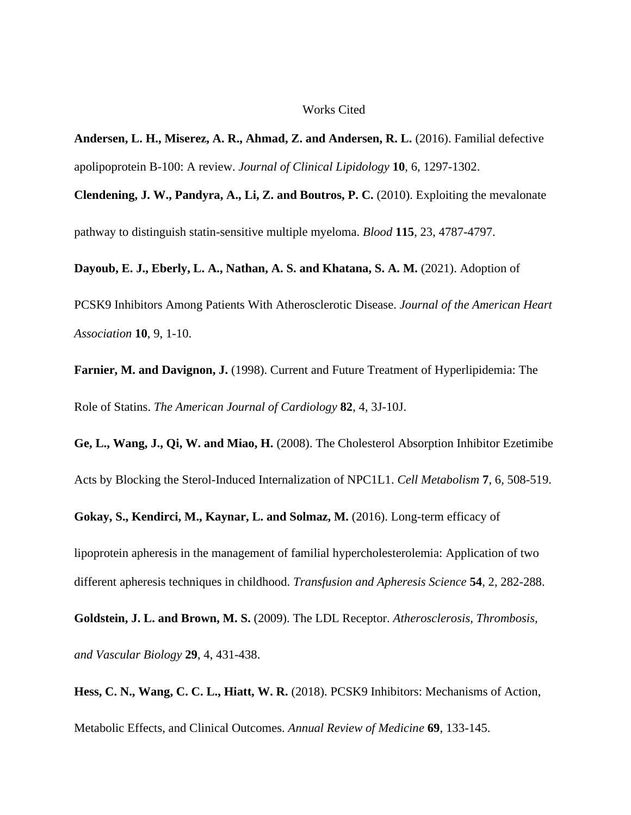#### Works Cited

**Andersen, L. H., Miserez, A. R., Ahmad, Z. and Andersen, R. L.** (2016). Familial defective apolipoprotein B-100: A review. *Journal of Clinical Lipidology* **10**, 6, 1297-1302.

**Clendening, J. W., Pandyra, A., Li, Z. and Boutros, P. C.** (2010). Exploiting the mevalonate pathway to distinguish statin-sensitive multiple myeloma. *Blood* **115**, 23, 4787-4797.

**Dayoub, E. J., Eberly, L. A., Nathan, A. S. and Khatana, S. A. M.** (2021). Adoption of

PCSK9 Inhibitors Among Patients With Atherosclerotic Disease. *Journal of the American Heart Association* **10**, 9, 1-10.

**Farnier, M. and Davignon, J.** (1998). Current and Future Treatment of Hyperlipidemia: The Role of Statins. *The American Journal of Cardiology* **82**, 4, 3J-10J.

**Ge, L., Wang, J., Qi, W. and Miao, H.** (2008). The Cholesterol Absorption Inhibitor Ezetimibe Acts by Blocking the Sterol-Induced Internalization of NPC1L1. *Cell Metabolism* **7**, 6, 508-519.

**Gokay, S., Kendirci, M., Kaynar, L. and Solmaz, M.** (2016). Long-term efficacy of

lipoprotein apheresis in the management of familial hypercholesterolemia: Application of two different apheresis techniques in childhood. *Transfusion and Apheresis Science* **54**, 2, 282-288.

**Goldstein, J. L. and Brown, M. S.** (2009). The LDL Receptor. *Atherosclerosis, Thrombosis, and Vascular Biology* **29**, 4, 431-438.

**Hess, C. N., Wang, C. C. L., Hiatt, W. R.** (2018). PCSK9 Inhibitors: Mechanisms of Action, Metabolic Effects, and Clinical Outcomes. *Annual Review of Medicine* **69**, 133-145.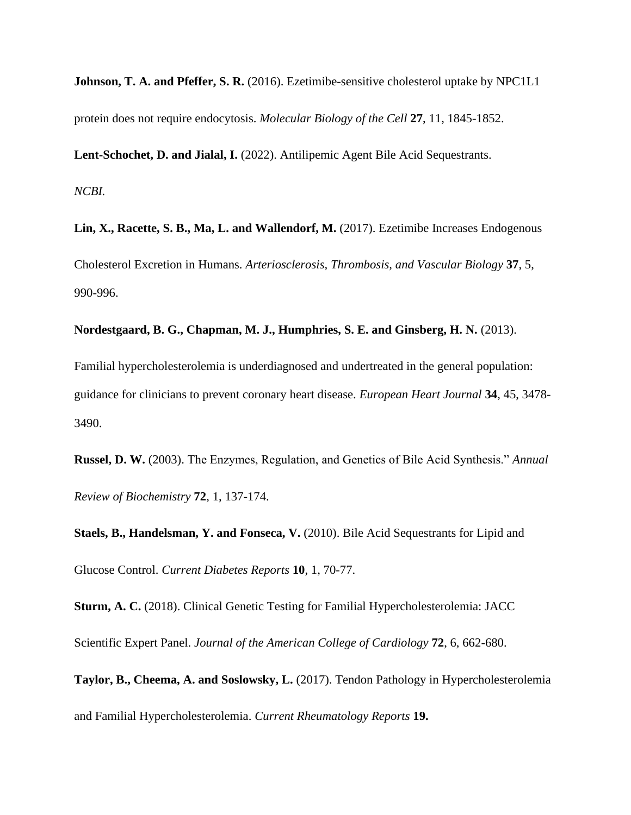**Johnson, T. A. and Pfeffer, S. R.** (2016). Ezetimibe-sensitive cholesterol uptake by NPC1L1 protein does not require endocytosis. *Molecular Biology of the Cell* **27**, 11, 1845-1852.

**Lent-Schochet, D. and Jialal, I.** (2022). Antilipemic Agent Bile Acid Sequestrants.

*NCBI.*

**Lin, X., Racette, S. B., Ma, L. and Wallendorf, M.** (2017). Ezetimibe Increases Endogenous Cholesterol Excretion in Humans. *Arteriosclerosis, Thrombosis, and Vascular Biology* **37**, 5, 990-996.

**Nordestgaard, B. G., Chapman, M. J., Humphries, S. E. and Ginsberg, H. N.** (2013).

Familial hypercholesterolemia is underdiagnosed and undertreated in the general population: guidance for clinicians to prevent coronary heart disease. *European Heart Journal* **34**, 45, 3478- 3490.

**Russel, D. W.** (2003). The Enzymes, Regulation, and Genetics of Bile Acid Synthesis." *Annual Review of Biochemistry* **72**, 1, 137-174.

**Staels, B., Handelsman, Y. and Fonseca, V.** (2010). Bile Acid Sequestrants for Lipid and Glucose Control. *Current Diabetes Reports* **10**, 1, 70-77.

**Sturm, A. C.** (2018). Clinical Genetic Testing for Familial Hypercholesterolemia: JACC Scientific Expert Panel. *Journal of the American College of Cardiology* **72**, 6, 662-680.

**Taylor, B., Cheema, A. and Soslowsky, L.** (2017). Tendon Pathology in Hypercholesterolemia and Familial Hypercholesterolemia. *Current Rheumatology Reports* **19.**